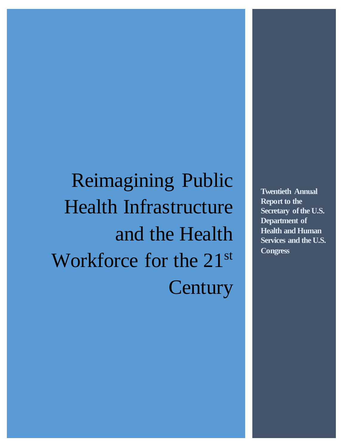Reimagining Public Health Infrastructure and the Health Workforce for the 21<sup>st</sup> **Century** 

**Twentieth Annual Report to the Secretary of the U.S. Department of Health and Human Services and the U.S. Congress**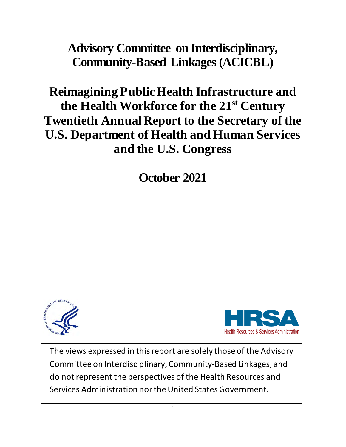**Advisory Committee on Interdisciplinary, Community-Based Linkages (ACICBL)**

**Reimagining Public Health Infrastructure and the Health Workforce for the 21st Century Twentieth Annual Report to the Secretary of the U.S. Department of Health and Human Services and the U.S. Congress**

**October 2021**





The views expressed in this report are solely those of the Advisory Committee on Interdisciplinary, Community-Based Linkages, and do not represent the perspectives of the Health Resources and Services Administration nor the United States Government.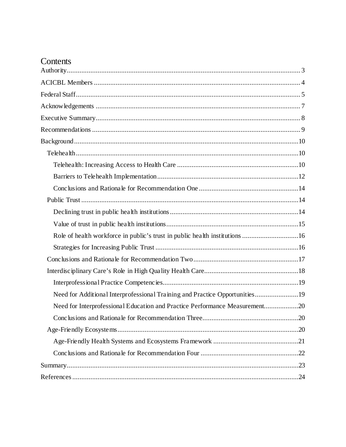# Contents

| Role of health workforce in public's trust in public health institutions 16 |  |
|-----------------------------------------------------------------------------|--|
|                                                                             |  |
|                                                                             |  |
|                                                                             |  |
|                                                                             |  |
| Need for Additional Interprofessional Training and Practice Opportunities19 |  |
| Need for Interprofessional Education and Practice Performance Measurement20 |  |
|                                                                             |  |
|                                                                             |  |
|                                                                             |  |
|                                                                             |  |
|                                                                             |  |
|                                                                             |  |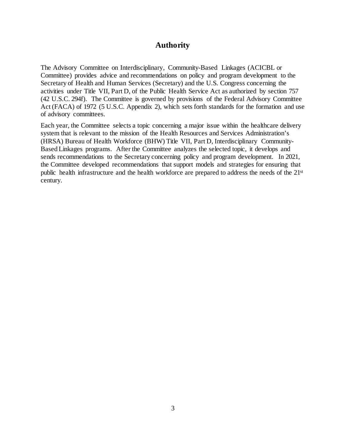# **Authority**

<span id="page-3-0"></span>The Advisory Committee on Interdisciplinary, Community-Based Linkages (ACICBL or Committee) provides advice and recommendations on policy and program development to the Secretary of Health and Human Services (Secretary) and the U.S. Congress concerning the activities under Title VII, Part D, of the Public Health Service Act as authorized by section 757 (42 U.S.C. 294f). The Committee is governed by provisions of the Federal Advisory Committee Act (FACA) of 1972 (5 U.S.C. Appendix 2), which sets forth standards for the formation and use of advisory committees.

Each year, the Committee selects a topic concerning a major issue within the healthcare delivery system that is relevant to the mission of the Health Resources and Services Administration's (HRSA) Bureau of Health Workforce (BHW) Title VII, Part D, Interdisciplinary Community-Based Linkages programs. After the Committee analyzes the selected topic, it develops and sends recommendations to the Secretary concerning policy and program development. In 2021, the Committee developed recommendations that support models and strategies for ensuring that public health infrastructure and the health workforce are prepared to address the needs of the 21st century.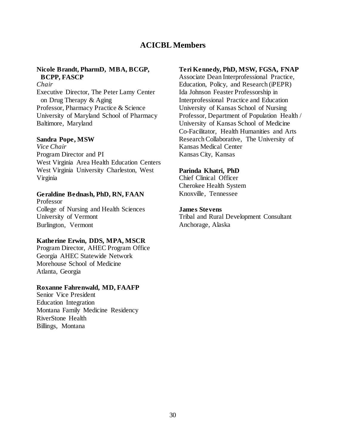# **ACICBL Members**

### <span id="page-4-0"></span>**Nicole Brandt, PharmD, MBA, BCGP, BCPP, FASCP**

*Chair* Executive Director, The Peter Lamy Center on Drug Therapy & Aging Professor, Pharmacy Practice & Science University of Maryland School of Pharmacy Baltimore, Maryland

#### **Sandra Pope, MSW**

*Vice Chair* Program Director and PI West Virginia Area Health Education Centers West Virginia University Charleston, West Virginia

#### **Geraldine Bednash, PhD, RN, FAAN** Professor College of Nursing and Health Sciences

University of Vermont Burlington, Vermont

#### **Katherine Erwin, DDS, MPA, MSCR**

Program Director, AHEC Program Office Georgia AHEC Statewide Network Morehouse School of Medicine Atlanta, Georgia

#### **Roxanne Fahrenwald, MD, FAAFP**

Senior Vice President Education Integration Montana Family Medicine Residency RiverStone Health Billings, Montana

### **Teri Kennedy, PhD, MSW, FGSA, FNAP**

Associate Dean Interprofessional Practice, Education, Policy, and Research (iPEPR) Ida Johnson Feaster Professorship in Interprofessional Practice and Education University of Kansas School of Nursing Professor, Department of Population Health / University of Kansas School of Medicine Co-Facilitator, Health Humanities and Arts Research Collaborative, The University of Kansas Medical Center Kansas City, Kansas

#### **Parinda Khatri, PhD**

Chief Clinical Officer Cherokee Health System Knoxville, Tennessee

#### **James Stevens**

Tribal and Rural Development Consultant Anchorage, Alaska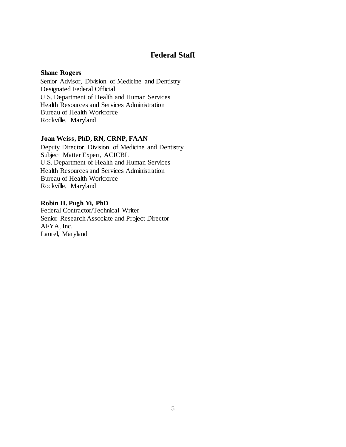# **Federal Staff**

### <span id="page-5-0"></span>**Shane Rogers**

Senior Advisor, Division of Medicine and Dentistry Designated Federal Official U.S. Department of Health and Human Services Health Resources and Services Administration Bureau of Health Workforce Rockville, Maryland

### **Joan Weiss, PhD, RN, CRNP, FAAN**

Deputy Director, Division of Medicine and Dentistry Subject Matter Expert, ACICBL U.S. Department of Health and Human Services Health Resources and Services Administration Bureau of Health Workforce Rockville, Maryland

**Robin H. Pugh Yi, PhD** Federal Contractor/Technical Writer Senior Research Associate and Project Director AFYA, Inc. Laurel, Maryland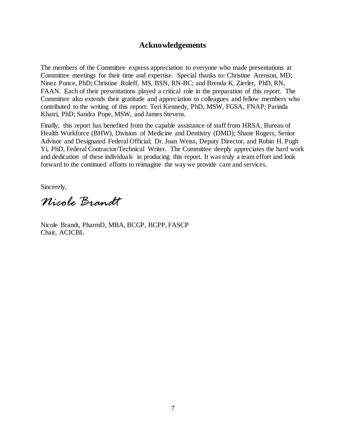# **Acknowledgements**

<span id="page-6-0"></span>The members of the Committee express appreciation to everyone who made presentations at Committee meetings for their time and expertise. Special thanks to: Christine Arenson, MD; Ninez Ponce, PhD; Christine Roleff, MS, BSN, RN-BC; and Brenda K. Zierler, PhD, RN, FAAN. Each of their presentations played a critical role in the preparation of this report. The Committee also extends their gratitude and appreciation to colleagues and fellow members who contributed to the writing of this report: Teri Kennedy, PhD, MSW, FGSA, FNAP; Parinda Khatri, PhD; Sandra Pope, MSW, and James Stevens.

Finally, this report has benefited from the capable assistance of staff from HRSA, Bureau of Health Workforce (BHW), Division of Medicine and Dentistry (DMD); Shane Rogers, Senior Advisor and Designated Federal Official; Dr. Joan Weiss, Deputy Director, and Robin H. Pugh Yi, PhD, Federal Contractor/Technical Writer. The Committee deeply appreciates the hard work and dedication of these individuals in producing this report. It was truly a team effort and look forward to the continued efforts to reimagine the way we provide care and services.

Sincerely,

*Nicole Brandt*

Nicole Brandt, PharmD, MBA, BCGP, BCPP, FASCP Chair, ACICBL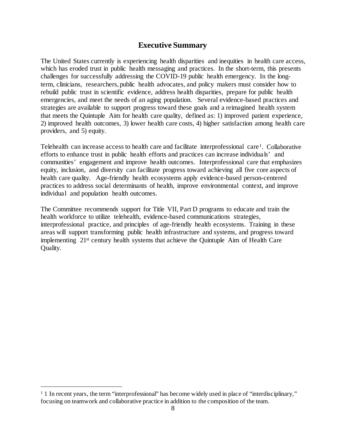# **Executive Summary**

<span id="page-7-0"></span>The United States currently is experiencing health disparities and inequities in health care access, which has eroded trust in public health messaging and practices. In the short-term, this presents challenges for successfully addressing the COVID-19 public health emergency. In the longterm, clinicians, researchers, public health advocates, and policy makers must consider how to rebuild public trust in scientific evidence, address health disparities, prepare for public health emergencies, and meet the needs of an aging population. Several evidence-based practices and strategies are available to support progress toward these goals and a reimagined health system that meets the Quintuple Aim for health care quality, defined as: 1) improved patient experience, 2) improved health outcomes, 3) lower health care costs, 4) higher satisfaction among health care providers, and 5) equity.

Telehealth can increase access to health care and facilitate interprofessional care<sup>[1](#page-7-2)</sup>. Collaborative efforts to enhance trust in public health efforts and practices can increase individuals' and communities' engagement and improve health outcomes. Interprofessional care that emphasizes equity, inclusion, and diversity can facilitate progress toward achieving all five core aspects of health care quality. Age-friendly health ecosystems apply evidence-based person-centered practices to address social determinants of health, improve environmental context, and improve individual and population health outcomes.

<span id="page-7-1"></span>The Committee recommends support for Title VII, Part D programs to educate and train the health workforce to utilize telehealth, evidence-based communications strategies, interprofessional practice, and principles of age-friendly health ecosystems. Training in these areas will support transforming public health infrastructure and systems, and progress toward implementing 21st century health systems that achieve the Quintuple Aim of Health Care Quality.

l

<span id="page-7-2"></span><sup>&</sup>lt;sup>1</sup> 1 In recent years, the term "interprofessional" has become widely used in place of "interdisciplinary," focusing on teamwork and collaborative practice in addition to the composition of the team.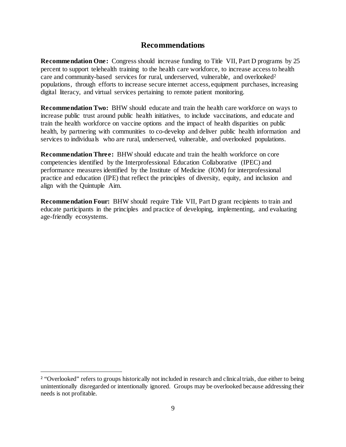# **Recommendations**

**Recommendation One:** Congress should increase funding to Title VII, Part D programs by 25 percent to support telehealth training to the health care workforce, to increase access to health care and community-based services for rural, underserved, vulnerable, and overlooked<sup>[2](#page-8-0)</sup> populations, through efforts to increase secure internet access, equipment purchases, increasing digital literacy, and virtual services pertaining to remote patient monitoring.

**Recommendation Two:** BHW should educate and train the health care workforce on ways to increase public trust around public health initiatives, to include vaccinations, and educate and train the health workforce on vaccine options and the impact of health disparities on public health, by partnering with communities to co-develop and deliver public health information and services to individuals who are rural, underserved, vulnerable, and overlooked populations.

**Recommendation Three:** BHW should educate and train the health workforce on core competencies identified by the Interprofessional Education Collaborative (IPEC) and performance measures identified by the Institute of Medicine (IOM) for interprofessional practice and education (IPE) that reflect the principles of diversity, equity, and inclusion and align with the Quintuple Aim.

**Recommendation Four:** BHW should require Title VII, Part D grant recipients to train and educate participants in the principles and practice of developing, implementing, and evaluating age-friendly ecosystems.

 $\overline{a}$ 

<span id="page-8-0"></span><sup>&</sup>lt;sup>2</sup> "Overlooked" refers to groups historically not included in research and clinical trials, due either to being unintentionally disregarded or intentionally ignored. Groups may be overlooked because addressing their needs is not profitable.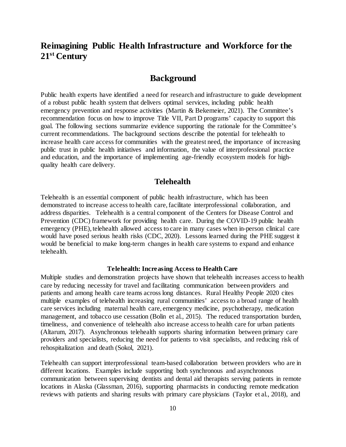# **Reimagining Public Health Infrastructure and Workforce for the 21st Century**

# **Background**

<span id="page-9-0"></span>Public health experts have identified a need for research and infrastructure to guide development of a robust public health system that delivers optimal services, including public health emergency prevention and response activities (Martin & Bekemeier, 2021). The Committee's recommendation focus on how to improve Title VII, Part D programs' capacity to support this goal. The following sections summarize evidence supporting the rationale for the Committee's current recommendations. The background sections describe the potential for telehealth to increase health care access for communities with the greatest need, the importance of increasing public trust in public health initiatives and information, the value of interprofessional practice and education, and the importance of implementing age-friendly ecosystem models for highquality health care delivery.

## **Telehealth**

<span id="page-9-1"></span>Telehealth is an essential component of public health infrastructure, which has been demonstrated to increase access to health care, facilitate interprofessional collaboration, and address disparities. Telehealth is a central component of the Centers for Disease Control and Prevention (CDC) framework for providing health care. During the COVID-19 public health emergency (PHE), telehealth allowed access to care in many cases when in-person clinical care would have posed serious health risks (CDC, 2020). Lessons learned during the PHE suggest it would be beneficial to make long-term changes in health care systems to expand and enhance telehealth.

#### **Telehealth: Increasing Access to Health Care**

<span id="page-9-2"></span>Multiple studies and demonstration projects have shown that telehealth increases access to health care by reducing necessity for travel and facilitating communication between providers and patients and among health care teams across long distances. Rural Healthy People 2020 cites multiple examples of telehealth increasing rural communities' access to a broad range of health care services including maternal health care, emergency medicine, psychotherapy, medication management, and tobacco use cessation (Bolin et al., 2015). The reduced transportation burden, timeliness, and convenience of telehealth also increase access to health care for urban patients (Altarum, 2017). Asynchronous telehealth supports sharing information between primary care providers and specialists, reducing the need for patients to visit specialists, and reducing risk of rehospitalization and death (Sokol, 2021).

Telehealth can support interprofessional team-based collaboration between providers who are in different locations. Examples include supporting both synchronous and asynchronous communication between supervising dentists and dental aid therapists serving patients in remote locations in Alaska (Glassman, 2016), supporting pharmacists in conducting remote medication reviews with patients and sharing results with primary care physicians (Taylor et al., 2018), and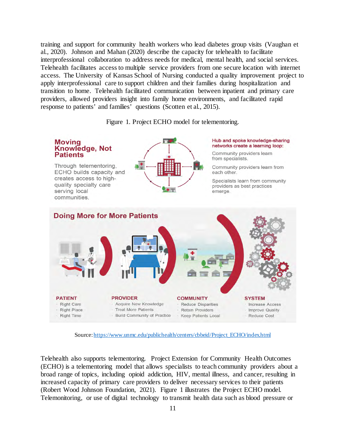training and support for community health workers who lead diabetes group visits (Vaughan et al., 2020). Johnson and Mahan (2020) describe the capacity for telehealth to facilitate interprofessional collaboration to address needs for medical, mental health, and social services. Telehealth facilitates access to multiple service providers from one secure location with internet access. The University of Kansas School of Nursing conducted a quality improvement project to apply interprofessional care to support children and their families during hospitalization and transition to home. Telehealth facilitated communication between inpatient and primary care providers, allowed providers insight into family home environments, and facilitated rapid response to patients' and families' questions (Scotten et al., 2015).

Figure 1. Project ECHO model for telementoring.



Source[: https://www.unmc.edu/publichealth/centers/cbbeid/Project\\_ECHO/index.html](https://www.unmc.edu/publichealth/centers/cbbeid/Project_ECHO/index.html)

Telehealth also supports telementoring. Project Extension for Community Health Outcomes (ECHO) is a telementoring model that allows specialists to teach community providers about a broad range of topics, including opioid addiction, HIV, mental illness, and cancer, resulting in increased capacity of primary care providers to deliver necessary services to their patients (Robert Wood Johnson Foundation, 2021). Figure 1 illustrates the Project ECHO model. Telemonitoring, or use of digital technology to transmit health data such as blood pressure or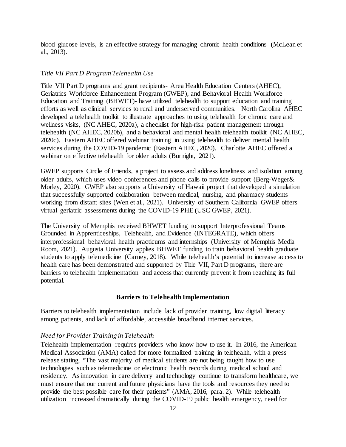blood glucose levels, is an effective strategy for managing chronic health conditions (McLean et al., 2013).

#### T*itle VII Part D Program Telehealth Use*

Title VII Part D programs and grant recipients- Area Health Education Centers (AHEC), Geriatrics Workforce Enhancement Program (GWEP), and Behavioral Health Workforce Education and Training (BHWET)- have utilized telehealth to support education and training efforts as well as clinical services to rural and underserved communities. North Carolina AHEC developed a telehealth toolkit to illustrate approaches to using telehealth for chronic care and wellness visits, (NC AHEC, 2020a), a checklist for high-risk patient management through telehealth (NC AHEC, 2020b), and a behavioral and mental health telehealth toolkit (NC AHEC, 2020c). Eastern AHEC offered webinar training in using telehealth to deliver mental health services during the COVID-19 pandemic (Eastern AHEC, 2020). Charlotte AHEC offered a webinar on effective telehealth for older adults (Burnight, 2021).

GWEP supports Circle of Friends, a project to assess and address loneliness and isolation among older adults, which uses video conferences and phone calls to provide support (Berg-Weger& Morley, 2020). GWEP also supports a University of Hawaii project that developed a simulation that successfully supported collaboration between medical, nursing, and pharmacy students working from distant sites (Wen et al., 2021). University of Southern California GWEP offers virtual geriatric assessments during the COVID-19 PHE (USC GWEP, 2021).

The University of Memphis received BHWET funding to support Interprofessional Teams Grounded in Apprenticeships, Telehealth, and Evidence (INTEGRATE), which offers interprofessional behavioral health practicums and internships (University of Memphis Media Room, 2021). Augusta University applies BHWET funding to train behavioral health graduate students to apply telemedicine (Carney, 2018). While telehealth's potential to increase access to health care has been demonstrated and supported by Title VII, Part D programs, there are barriers to telehealth implementation and access that currently prevent it from reaching its full potential.

#### **Barriers to Telehealth Implementation**

<span id="page-11-0"></span>Barriers to telehealth implementation include lack of provider training, low digital literacy among patients, and lack of affordable, accessible broadband internet services.

#### *Need for Provider Training in Telehealth*

Telehealth implementation requires providers who know how to use it. In 2016, the American Medical Association (AMA) called for more formalized training in telehealth, with a press release stating, "The vast majority of medical students are not being taught how to use technologies such as telemedicine or electronic health records during medical school and residency. As innovation in care delivery and technology continue to transform healthcare, we must ensure that our current and future physicians have the tools and resources they need to provide the best possible care for their patients" (AMA, 2016, para. 2). While telehealth utilization increased dramatically during the COVID-19 public health emergency, need for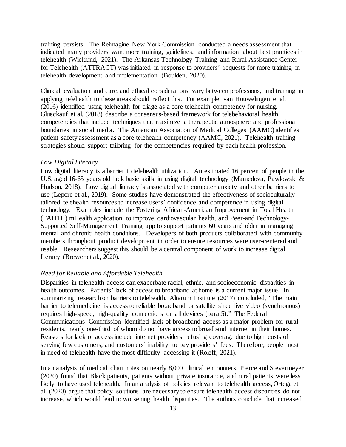training persists. The Reimagine New York Commission conducted a needs assessment that indicated many providers want more training, guidelines, and information about best practices in telehealth (Wicklund, 2021). The Arkansas Technology Training and Rural Assistance Center for Telehealth (ATTRACT) was initiated in response to providers' requests for more training in telehealth development and implementation (Boulden, 2020).

Clinical evaluation and care, and ethical considerations vary between professions, and training in applying telehealth to these areas should reflect this. For example, van Houwelingen et al. (2016) identified using telehealth for triage as a core telehealth competency for nursing. Glueckauf et al. (2018) describe a consensus-based framework for telebehavioral health competencies that include techniques that maximize a therapeutic atmosphere and professional boundaries in social media. The American Association of Medical Colleges (AAMC) identifies patient safety assessment as a core telehealth competency (AAMC, 2021). Telehealth training strategies should support tailoring for the competencies required by each health profession.

#### *Low Digital Literacy*

Low digital literacy is a barrier to telehealth utilization. An estimated 16 percent of people in the U.S. aged 16-65 years old lack basic skills in using digital technology (Mamedova, Pawlowski & Hudson, 2018). Low digital literacy is associated with computer anxiety and other barriers to use (Lepore et al., 2019). Some studies have demonstrated the effectiveness of socioculturally tailored telehealth resources to increase users' confidence and competence in using digital technology. Examples include the Fostering African-American Improvement in Total Health (FAITH!) mHealth application to improve cardiovascular health, and Peer-and Technology-Supported Self-Management Training app to support patients 60 years and older in managing mental and chronic health conditions. Developers of both products collaborated with community members throughout product development in order to ensure resources were user-centered and usable. Researchers suggest this should be a central component of work to increase digital literacy (Brewer et al., 2020).

#### *Need for Reliable and Affordable Telehealth*

Disparities in telehealth access can exacerbate racial, ethnic, and socioeconomic disparities in health outcomes. Patients' lack of access to broadband at home is a current major issue. In summarizing research on barriers to telehealth, Altarum Institute (2017) concluded, "The main barrier to telemedicine is access to reliable broadband or satellite since live video (synchronous) requires high-speed, high-quality connections on all devices (para.5)." The Federal Communications Commission identified lack of broadband access as a major problem for rural residents, nearly one-third of whom do not have access to broadband internet in their homes. Reasons for lack of access include internet providers refusing coverage due to high costs of serving few customers, and customers' inability to pay providers' fees. Therefore, people most in need of telehealth have the most difficulty accessing it (Roleff, 2021).

In an analysis of medical chart notes on nearly 8,000 clinical encounters, Pierce and Stevermeyer (2020) found that Black patients, patients without private insurance, and rural patients were less likely to have used telehealth. In an analysis of policies relevant to telehealth access, Ortega et al. (2020) argue that policy solutions are necessary to ensure telehealth access disparities do not increase, which would lead to worsening health disparities. The authors conclude that increased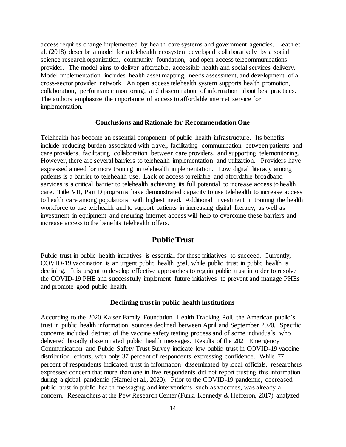access requires change implemented by health care systems and government agencies. Leath et al. (2018) describe a model for a telehealth ecosystem developed collaboratively by a social science research organization, community foundation, and open access telecommunications provider. The model aims to deliver affordable, accessible health and social services delivery. Model implementation includes health asset mapping, needs assessment, and development of a cross-sector provider network. An open access telehealth system supports health promotion, collaboration, performance monitoring, and dissemination of information about best practices. The authors emphasize the importance of access to affordable internet service for implementation.

#### **Conclusions and Rationale for Recommendation One**

<span id="page-13-0"></span>Telehealth has become an essential component of public health infrastructure. Its benefits include reducing burden associated with travel, facilitating communication between patients and care providers, facilitating collaboration between care providers, and supporting telemonitoring. However, there are several barriers to telehealth implementation and utilization. Providers have expressed a need for more training in telehealth implementation. Low digital literacy among patients is a barrier to telehealth use. Lack of access to reliable and affordable broadband services is a critical barrier to telehealth achieving its full potential to increase access to health care. Title VII, Part D programs have demonstrated capacity to use telehealth to increase access to health care among populations with highest need. Additional investment in training the health workforce to use telehealth and to support patients in increasing digital literacy, as well as investment in equipment and ensuring internet access will help to overcome these barriers and increase access to the benefits telehealth offers.

## **Public Trust**

<span id="page-13-1"></span>Public trust in public health initiatives is essential for these initiatives to succeed. Currently, COVID-19 vaccination is an urgent public health goal, while public trust in public health is declining. It is urgent to develop effective approaches to regain public trust in order to resolve the COVID-19 PHE and successfully implement future initiatives to prevent and manage PHEs and promote good public health.

#### **Declining trust in public health institutions**

<span id="page-13-2"></span>According to the 2020 Kaiser Family Foundation Health Tracking Poll, the American public's trust in public health information sources declined between April and September 2020. Specific concerns included distrust of the vaccine safety testing process and of some individuals who delivered broadly disseminated public health messages. Results of the 2021 Emergency Communication and Public Safety Trust Survey indicate low public trust in COVID-19 vaccine distribution efforts, with only 37 percent of respondents expressing confidence. While 77 percent of respondents indicated trust in information disseminated by local officials, researchers expressed concern that more than one in five respondents did not report trusting this information during a global pandemic (Hamel et al., 2020). Prior to the COVID-19 pandemic, decreased public trust in public health messaging and interventions such as vaccines, was already a concern. Researchers at the Pew Research Center (Funk, Kennedy & Hefferon, 2017) analyzed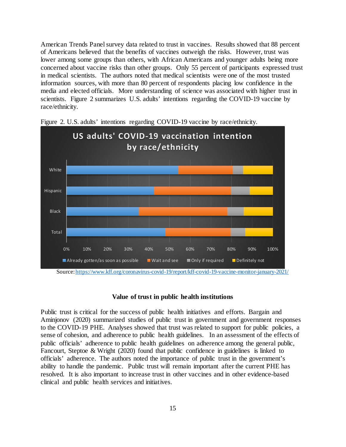American Trends Panel survey data related to trust in vaccines. Results showed that 88 percent of Americans believed that the benefits of vaccines outweigh the risks. However, trust was lower among some groups than others, with African Americans and younger adults being more concerned about vaccine risks than other groups. Only 55 percent of participants expressed trust in medical scientists. The authors noted that medical scientists were one of the most trusted information sources, with more than 80 percent of respondents placing low confidence in the media and elected officials. More understanding of science was associated with higher trust in scientists. Figure 2 summarizes U.S. adults' intentions regarding the COVID-19 vaccine by race/ethnicity.



Figure 2. U.S. adults' intentions regarding COVID-19 vaccine by race/ethnicity.

#### **Value of trust in public health institutions**

<span id="page-14-0"></span>Public trust is critical for the success of public health initiatives and efforts. Bargain and Aminjonov (2020) summarized studies of public trust in government and government responses to the COVID-19 PHE. Analyses showed that trust was related to support for public policies, a sense of cohesion, and adherence to public health guidelines. In an assessment of the effects of public officials' adherence to public health guidelines on adherence among the general public, Fancourt, Steptoe & Wright (2020) found that public confidence in guidelines is linked to officials' adherence. The authors noted the importance of public trust in the government's ability to handle the pandemic. Public trust will remain important after the current PHE has resolved. It is also important to increase trust in other vaccines and in other evidence-based clinical and public health services and initiatives.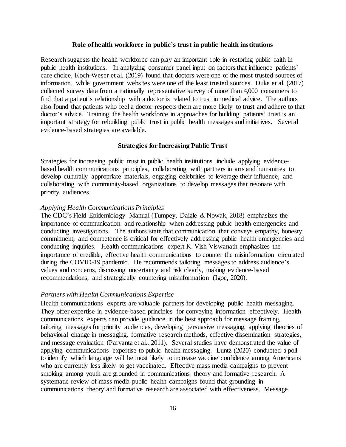#### **Role of health workforce in public's trust in public health institutions**

<span id="page-15-0"></span>Research suggests the health workforce can play an important role in restoring public faith in public health institutions. In analyzing consumer panel input on factors that influence patients' care choice, Koch-Weser et al. (2019) found that doctors were one of the most trusted sources of information, while government websites were one of the least trusted sources. Duke et al. (2017) collected survey data from a nationally representative survey of more than 4,000 consumers to find that a patient's relationship with a doctor is related to trust in medical advice. The authors also found that patients who feel a doctor respects them are more likely to trust and adhere to that doctor's advice. Training the health workforce in approaches for building patients' trust is an important strategy for rebuilding public trust in public health messages and initiatives. Several evidence-based strategies are available.

#### **Strategies for Increasing Public Trust**

<span id="page-15-1"></span>Strategies for increasing public trust in public health institutions include applying evidencebased health communications principles, collaborating with partners in arts and humanities to develop culturally appropriate materials, engaging celebrities to leverage their influence, and collaborating with community-based organizations to develop messages that resonate with priority audiences.

#### *Applying Health Communications Principles*

The CDC's Field Epidemiology Manual (Tumpey, Daigle & Nowak, 2018) emphasizes the importance of communication and relationship when addressing public health emergencies and conducting investigations. The authors state that communication that conveys empathy, honesty, commitment, and competence is critical for effectively addressing public health emergencies and conducting inquiries. Health communications expert K. Vish Viswanath emphasizes the importance of credible, effective health communications to counter the misinformation circulated during the COVID-19 pandemic. He recommends tailoring messages to address audience's values and concerns, discussing uncertainty and risk clearly, making evidence-based recommendations, and strategically countering misinformation (Igoe, 2020).

#### *Partners with Health Communications Expertise*

Health communications experts are valuable partners for developing public health messaging. They offer expertise in evidence-based principles for conveying information effectively. Health communications experts can provide guidance in the best approach for message framing, tailoring messages for priority audiences, developing persuasive messaging, applying theories of behavioral change in messaging, formative research methods, effective dissemination strategies, and message evaluation (Parvanta et al., 2011). Several studies have demonstrated the value of applying communications expertise to public health messaging. Luntz (2020) conducted a poll to identify which language will be most likely to increase vaccine confidence among Americans who are currently less likely to get vaccinated. Effective mass media campaigns to prevent smoking among youth are grounded in communications theory and formative research. A systematic review of mass media public health campaigns found that grounding in communications theory and formative research are associated with effectiveness. Message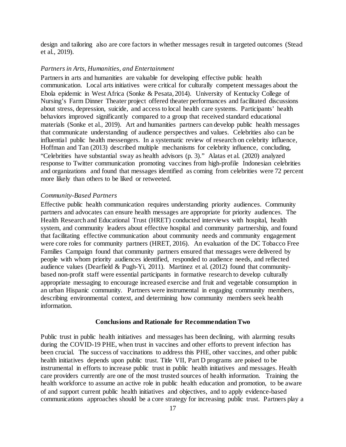design and tailoring also are core factors in whether messages result in targeted outcomes (Stead et al., 2019).

#### *Partners in Arts, Humanities, and Entertainment*

Partners in arts and humanities are valuable for developing effective public health communication. Local arts initiatives were critical for culturally competent messages about the Ebola epidemic in West Africa (Sonke & Pesata, 2014). University of Kentucky College of Nursing's Farm Dinner Theater project offered theater performances and facilitated discussions about stress, depression, suicide, and access to local health care systems. Participants' health behaviors improved significantly compared to a group that received standard educational materials (Sonke et al., 2019). Art and humanities partners can develop public health messages that communicate understanding of audience perspectives and values. Celebrities also can be influential public health messengers. In a systematic review of research on celebrity influence, Hoffman and Tan (2013) described multiple mechanisms for celebrity influence, concluding, "Celebrities have substantial sway as health advisors (p. 3)." Alatas et al. (2020) analyzed response to Twitter communication promoting vaccines from high-profile Indonesian celebrities and organizations and found that messages identified as coming from celebrities were 72 percent more likely than others to be liked or retweeted.

#### *Community-Based Partners*

Effective public health communication requires understanding priority audiences. Community partners and advocates can ensure health messages are appropriate for priority audiences. The Health Research and Educational Trust (HRET) conducted interviews with hospital, health system, and community leaders about effective hospital and community partnership, and found that facilitating effective communication about community needs and community engagement were core roles for community partners (HRET, 2016). An evaluation of the DC Tobacco Free Families Campaign found that community partners ensured that messages were delivered by people with whom priority audiences identified, responded to audience needs, and reflected audience values (Dearfield & Pugh-Yi, 2011). Martinez et al. (2012) found that communitybased non-profit staff were essential participants in formative research to develop culturally appropriate messaging to encourage increased exercise and fruit and vegetable consumption in an urban Hispanic community. Partners were instrumental in engaging community members, describing environmental context, and determining how community members seek health information.

#### **Conclusions and Rationale for Recommendation Two**

<span id="page-16-0"></span>Public trust in public health initiatives and messages has been declining, with alarming results during the COVID-19 PHE, when trust in vaccines and other efforts to prevent infection has been crucial. The success of vaccinations to address this PHE, other vaccines, and other public health initiatives depends upon public trust. Title VII, Part D programs are poised to be instrumental in efforts to increase public trust in public health initiatives and messages. Health care providers currently are one of the most trusted sources of health information. Training the health workforce to assume an active role in public health education and promotion, to be aware of and support current public health initiatives and objectives, and to apply evidence-based communications approaches should be a core strategy for increasing public trust. Partners play a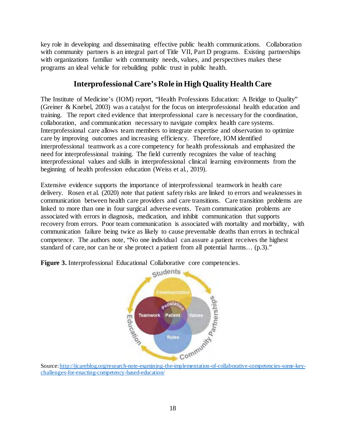key role in developing and disseminating effective public health communications. Collaboration with community partners is an integral part of Title VII, Part D programs. Existing partnerships with organizations familiar with community needs, values, and perspectives makes these programs an ideal vehicle for rebuilding public trust in public health.

# **Interprofessional Care's Role in High Quality Health Care**

<span id="page-17-0"></span>The Institute of Medicine's (IOM) report, "Health Professions Education: A Bridge to Quality" (Greiner & Knebel, 2003) was a catalyst for the focus on interprofessional health education and training. The report cited evidence that interprofessional care is necessary for the coordination, collaboration, and communication necessary to navigate complex health care systems. Interprofessional care allows team members to integrate expertise and observation to optimize care by improving outcomes and increasing efficiency. Therefore, IOM identified interprofessional teamwork as a core competency for health professionals and emphasized the need for interprofessional training. The field currently recognizes the value of teaching interprofessional values and skills in interprofessional clinical learning environments from the beginning of health profession education (Weiss et al., 2019).

Extensive evidence supports the importance of interprofessional teamwork in health care delivery. Rosen et al. (2020) note that patient safety risks are linked to errors and weaknesses in communication between health care providers and care transitions. Care transition problems are linked to more than one in four surgical adverse events. Team communication problems are associated with errors in diagnosis, medication, and inhibit communication that supports recovery from errors. Poor team communication is associated with mortality and morbidity, with communication failure being twice as likely to cause preventable deaths than errors in technical competence. The authors note, "No one individual can assure a patient receives the highest standard of care, nor can he or she protect a patient from all potential harms… (p.3)."



Figure 3. Interprofessional Educational Collaborative core competencies.

<span id="page-17-1"></span>[challenges-for-enacting-competency-based-education/](http://jicareblog.org/research-note-examining-the-implementation-of-collaborative-competencies-some-key-challenges-for-enacting-competency-based-education/)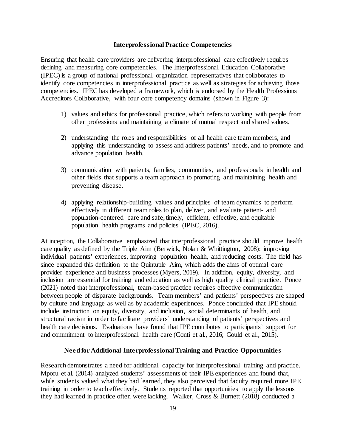### **Interprofessional Practice Competencies**

Ensuring that health care providers are delivering interprofessional care effectively requires defining and measuring core competencies. The Interprofessional Education Collaborative (IPEC) is a group of national professional organization representatives that collaborates to identify core competencies in interprofessional practice as well as strategies for achieving those competencies. IPEC has developed a framework, which is endorsed by the Health Professions Accreditors Collaborative, with four core competency domains (shown in Figure 3):

- 1) values and ethics for professional practice, which refers to working with people from other professions and maintaining a climate of mutual respect and shared values.
- 2) understanding the roles and responsibilities of all health care team members, and applying this understanding to assess and address patients' needs, and to promote and advance population health.
- 3) communication with patients, families, communities, and professionals in health and other fields that supports a team approach to promoting and maintaining health and preventing disease.
- 4) applying relationship-building values and principles of team dynamics to perform effectively in different team roles to plan, deliver, and evaluate patient- and population-centered care and safe, timely, efficient, effective, and equitable population health programs and policies (IPEC, 2016).

At inception, the Collaborative emphasized that interprofessional practice should improve health care quality as defined by the Triple Aim (Berwick, Nolan & Whittington, 2008): improving individual patients' experiences, improving population health, and reducing costs. The field has since expanded this definition to the Quintuple Aim, which adds the aims of optimal care provider experience and business processes (Myers, 2019). In addition, equity, diversity, and inclusion are essential for training and education as well as high quality clinical practice. Ponce (2021) noted that interprofessional, team-based practice requires effective communication between people of disparate backgrounds. Team members' and patients' perspectives are shaped by culture and language as well as by academic experiences. Ponce concluded that IPE should include instruction on equity, diversity, and inclusion, social determinants of health, and structural racism in order to facilitate providers' understanding of patients' perspectives and health care decisions. Evaluations have found that IPE contributes to participants' support for and commitment to interprofessional health care (Conti et al., 2016; Gould et al., 2015).

### **Need for Additional Interprofessional Training and Practice Opportunities**

<span id="page-18-0"></span>Research demonstrates a need for additional capacity for interprofessional training and practice. Mpofu et al. (2014) analyzed students' assessments of their IPE experiences and found that, while students valued what they had learned, they also perceived that faculty required more IPE training in order to teach effectively. Students reported that opportunities to apply the lessons they had learned in practice often were lacking. Walker, Cross & Burnett (2018) conducted a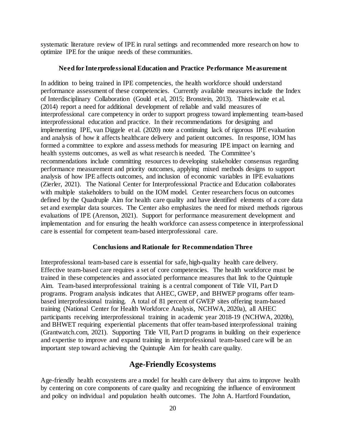systematic literature review of IPE in rural settings and recommended more research on how to optimize IPE for the unique needs of these communities.

#### **Need for Interprofessional Education and Practice Performance Measurement**

<span id="page-19-0"></span>In addition to being trained in IPE competencies, the health workforce should understand performance assessment of these competencies. Currently available measures include the Index of Interdisciplinary Collaboration (Gould et al, 2015; Bronstein, 2013). Thistlewaite et al. (2014) report a need for additional development of reliable and valid measures of interprofessional care competency in order to support progress toward implementing team-based interprofessional education and practice. In their recommendations for designing and implementing IPE, van Diggele et al. (2020) note a continuing lack of rigorous IPE evaluation and analysis of how it affects healthcare delivery and patient outcomes. In response, IOM has formed a committee to explore and assess methods for measuring IPE impact on learning and health systems outcomes, as well as what research is needed. The Committee's recommendations include committing resources to developing stakeholder consensus regarding performance measurement and priority outcomes, applying mixed methods designs to support analysis of how IPE affects outcomes, and inclusion of economic variables in IPE evaluations (Zierler, 2021). The National Center for Interprofessional Practice and Education collaborates with multiple stakeholders to build on the IOM model. Center researchers focus on outcomes defined by the Quadruple Aim for health care quality and have identified elements of a core data set and exemplar data sources. The Center also emphasizes the need for mixed methods rigorous evaluations of IPE (Arenson, 2021). Support for performance measurement development and implementation and for ensuring the health workforce can assess competence in interprofessional care is essential for competent team-based interprofessional care.

#### **Conclusions and Rationale for Recommendation Three**

<span id="page-19-1"></span>Interprofessional team-based care is essential for safe, high-quality health care delivery. Effective team-based care requires a set of core competencies. The health workforce must be trained in these competencies and associated performance measures that link to the Quintuple Aim. Team-based interprofessional training is a central component of Title VII, Part D programs. Program analysis indicates that AHEC, GWEP, and BHWEP programs offer teambased interprofessional training. A total of 81 percent of GWEP sites offering team-based training (National Center for Health Workforce Analysis, NCHWA, 2020a), all AHEC participants receiving interprofessional training in academic year 2018-19 (NCHWA, 2020b), and BHWET requiring experiential placements that offer team-based interprofessional training (Grantwatch.com, 2021). Supporting Title VII, Part D programs in building on their experience and expertise to improve and expand training in interprofessional team-based care will be an important step toward achieving the Quintuple Aim for health care quality.

### **Age-Friendly Ecosystems**

<span id="page-19-2"></span>Age-friendly health ecosystems are a model for health care delivery that aims to improve health by centering on core components of care quality and recognizing the influence of environment and policy on individual and population health outcomes. The John A. Hartford Foundation,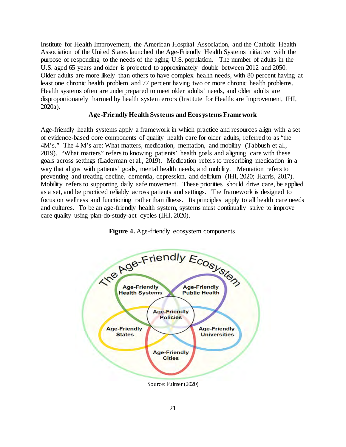Institute for Health Improvement, the American Hospital Association, and the Catholic Health Association of the United States launched the Age-Friendly Health Systems initiative with the purpose of responding to the needs of the aging U.S. population. The number of adults in the U.S. aged 65 years and older is projected to approximately double between 2012 and 2050. Older adults are more likely than others to have complex health needs, with 80 percent having at least one chronic health problem and 77 percent having two or more chronic health problems. Health systems often are underprepared to meet older adults' needs, and older adults are disproportionately harmed by health system errors (Institute for Healthcare Improvement, IHI, 2020a).

### **Age-Friendly Health Systems and Ecosystems Framework**

<span id="page-20-0"></span>Age-friendly health systems apply a framework in which practice and resources align with a set of evidence-based core components of quality health care for older adults, referred to as "the 4M's." The 4 M's are: What matters, medication, mentation, and mobility (Tabbush et al., 2019). "What matters" refers to knowing patients' health goals and aligning care with these goals across settings (Laderman et al., 2019). Medication refers to prescribing medication in a way that aligns with patients' goals, mental health needs, and mobility. Mentation refers to preventing and treating decline, dementia, depression, and delirium (IHI, 2020; Harris, 2017). Mobility refers to supporting daily safe movement. These priorities should drive care, be applied as a set, and be practiced reliably across patients and settings. The framework is designed to focus on wellness and functioning rather than illness. Its principles apply to all health care needs and cultures. To be an age-friendly health system, systems must continually strive to improve care quality using plan-do-study-act cycles (IHI, 2020).



**Figure 4.** Age-friendly ecosystem components.

Source: Fulmer (2020)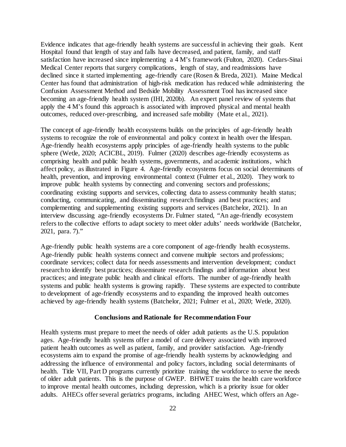Evidence indicates that age-friendly health systems are successful in achieving their goals. Kent Hospital found that length of stay and falls have decreased, and patient, family, and staff satisfaction have increased since implementing a 4 M's framework (Fulton, 2020). Cedars-Sinai Medical Center reports that surgery complications, length of stay, and readmissions have declined since it started implementing age-friendly care (Rosen & Breda, 2021). Maine Medical Center has found that administration of high-risk medication has reduced while administering the Confusion Assessment Method and Bedside Mobility Assessment Tool has increased since becoming an age-friendly health system (IHI, 2020b). An expert panel review of systems that apply the 4 M's found this approach is associated with improved physical and mental health outcomes, reduced over-prescribing, and increased safe mobility (Mate et al., 2021).

The concept of age-friendly health ecosystems builds on the principles of age-friendly health systems to recognize the role of environmental and policy context in health over the lifespan. Age-friendly health ecosystems apply principles of age-friendly health systems to the public sphere (Wetle, 2020; ACICBL, 2019). Fulmer (2020) describes age-friendly ecosystems as comprising health and public health systems, governments, and academic institutions, which affect policy, as illustrated in Figure 4. Age-friendly ecosystems focus on social determinants of health, prevention, and improving environmental context (Fulmer et al., 2020). They work to improve public health systems by connecting and convening sectors and professions; coordinating existing supports and services, collecting data to assess community health status; conducting, communicating, and disseminating research findings and best practices; and complementing and supplementing existing supports and services (Batchelor, 2021). In an interview discussing age-friendly ecosystems Dr. Fulmer stated, *"*An age-friendly ecosystem refers to the collective efforts to adapt society to meet older adults' needs worldwide (Batchelor, 2021, para. 7)."

Age-friendly public health systems are a core component of age-friendly health ecosystems. Age-friendly public health systems connect and convene multiple sectors and professions; coordinate services; collect data for needs assessments and intervention development; conduct research to identify best practices; disseminate research findings and information about best practices; and integrate public health and clinical efforts. The number of age-friendly health systems and public health systems is growing rapidly. These systems are expected to contribute to development of age-friendly ecosystems and to expanding the improved health outcomes achieved by age-friendly health systems (Batchelor, 2021; Fulmer et al., 2020; Wetle, 2020).

#### **Conclusions and Rationale for Recommendation Four**

<span id="page-21-0"></span>Health systems must prepare to meet the needs of older adult patients as the U.S. population ages. Age-friendly health systems offer a model of care delivery associated with improved patient health outcomes as well as patient, family, and provider satisfaction. Age-friendly ecosystems aim to expand the promise of age-friendly health systems by acknowledging and addressing the influence of environmental and policy factors, including social determinants of health. Title VII, Part D programs currently prioritize training the workforce to serve the needs of older adult patients. This is the purpose of GWEP. BHWET trains the health care workforce to improve mental health outcomes, including depression, which is a priority issue for older adults. AHECs offer several geriatrics programs, including AHEC West, which offers an Age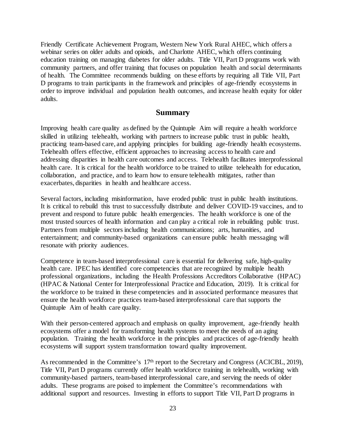Friendly Certificate Achievement Program, Western New York Rural AHEC, which offers a webinar series on older adults and opioids, and Charlotte AHEC, which offers continuing education training on managing diabetes for older adults. Title VII, Part D programs work with community partners, and offer training that focuses on population health and social determinants of health. The Committee recommends building on these efforts by requiring all Title VII, Part D programs to train participants in the framework and principles of age-friendly ecosystems in order to improve individual and population health outcomes, and increase health equity for older adults.

### **Summary**

<span id="page-22-0"></span>Improving health care quality as defined by the Quintuple Aim will require a health workforce skilled in utilizing telehealth, working with partners to increase public trust in public health, practicing team-based care, and applying principles for building age-friendly health ecosystems. Telehealth offers effective, efficient approaches to increasing access to health care and addressing disparities in health care outcomes and access. Telehealth facilitates interprofessional health care. It is critical for the health workforce to be trained to utilize telehealth for education, collaboration, and practice, and to learn how to ensure telehealth mitigates, rather than exacerbates, disparities in health and healthcare access.

Several factors, including misinformation, have eroded public trust in public health institutions. It is critical to rebuild this trust to successfully distribute and deliver COVID-19 vaccines, and to prevent and respond to future public health emergencies. The health workforce is one of the most trusted sources of health information and can play a critical role in rebuilding public trust. Partners from multiple sectors including health communications; arts, humanities, and entertainment; and community-based organizations can ensure public health messaging will resonate with priority audiences.

Competence in team-based interprofessional care is essential for delivering safe, high-quality health care. IPEC has identified core competencies that are recognized by multiple health professional organizations, including the Health Professions Accreditors Collaborative (HPAC) (HPAC & National Center for Interprofessional Practice and Education, 2019). It is critical for the workforce to be trained in these competencies and in associated performance measures that ensure the health workforce practices team-based interprofessional care that supports the Quintuple Aim of health care quality.

With their person-centered approach and emphasis on quality improvement, age-friendly health ecosystems offer a model for transforming health systems to meet the needs of an aging population. Training the health workforce in the principles and practices of age-friendly health ecosystems will support system transformation toward quality improvement.

As recommended in the Committee's 17<sup>th</sup> report to the Secretary and Congress (ACICBL, 2019), Title VII, Part D programs currently offer health workforce training in telehealth, working with community-based partners, team-based interprofessional care, and serving the needs of older adults. These programs are poised to implement the Committee's recommendations with additional support and resources. Investing in efforts to support Title VII, Part D programs in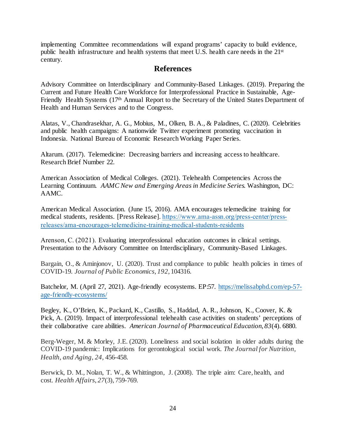implementing Committee recommendations will expand programs' capacity to build evidence, public health infrastructure and health systems that meet U.S. health care needs in the 21st century.

# **References**

<span id="page-23-0"></span>Advisory Committee on Interdisciplinary and Community-Based Linkages. (2019). [Preparing](https://www.hrsa.gov/sites/default/files/hrsa/advisory-committees/community-based-linkages/reports/seventeenth-2019.pdf) the Current and Future [Health Care Workforce](https://www.hrsa.gov/sites/default/files/hrsa/advisory-committees/community-based-linkages/reports/seventeenth-2019.pdf) for Interprofessional Practice in Sustainable, Age-Friendly Health [Systems](https://www.hrsa.gov/sites/default/files/hrsa/advisory-committees/community-based-linkages/reports/seventeenth-2019.pdf) (17<sup>th</sup> Annual Report to the Secretary of the United States Department of Health and Human Services and to the Congress.

Alatas, V., Chandrasekhar, A. G., Mobius, M., Olken, B. A., & Paladines, C. (2020). Celebrities and public health campaigns: A nationwide Twitter experiment promoting vaccination in Indonesia. National Bureau of Economic Research Working Paper Series.

Altarum. (2017). Telemedicine: Decreasing barriers and increasing access to healthcare. Research Brief Number 22.

American Association of Medical Colleges. (2021). Telehealth Competencies Across the Learning Continuum*. AAMC New and Emerging Areas in Medicine Series.* Washington, DC: AAMC.

American Medical Association. (June 15, 2016). AMA encourages telemedicine training for medical students, residents. [Press Release]. [https://www.ama-assn.org/press-center/press](https://www.ama-assn.org/press-center/press-releases/ama-encourages-telemedicine-training-medical-students-residents)[releases/ama-encourages-telemedicine-training-medical-students-residents](https://www.ama-assn.org/press-center/press-releases/ama-encourages-telemedicine-training-medical-students-residents)

Arenson, C. (2021). Evaluating interprofessional education outcomes in clinical settings. Presentation to the Advisory Committee on Interdisciplinary, Community-Based Linkages.

Bargain, O., & Aminjonov, U. (2020). Trust and compliance to public health policies in times of COVID-19. *Journal of Public Economics*, *192*, 104316.

Batchelor, M. (April 27, 2021). Age-friendly ecosystems. EP:57. [https://melissabphd.com/ep-57](https://melissabphd.com/ep-57-age-friendly-ecosystems/) [age-friendly-ecosystems/](https://melissabphd.com/ep-57-age-friendly-ecosystems/)

Begley, K., O'Brien, K., Packard, K., Castillo, S., Haddad, A. R., Johnson, K., Coover, K. & Pick, A. (2019). Impact of interprofessional telehealth case activities on students' perceptions of their collaborative care abilities. *American Journal of Pharmaceutical Education*, *83*(4). 6880.

Berg-Weger, M. & Morley, J.E. (2020). Loneliness and social isolation in older adults during the COVID-19 pandemic: Implications for gerontological social work. *The Journal for Nutrition, Health, and Aging, 24,* 456-458.

Berwick, D. M., Nolan, T. W., & Whittington, J. (2008). The triple aim: Care, health, and cost. *Health Affairs*, *27*(3), 759-769.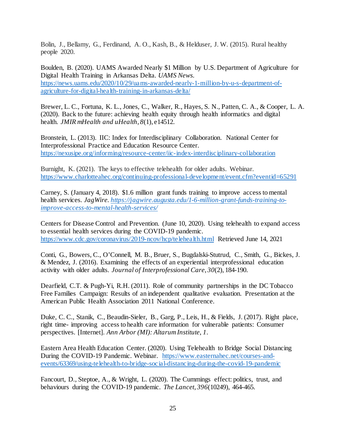Bolin, J., Bellamy, G., Ferdinand, A. O., Kash, B., & Helduser, J. W. (2015). Rural healthy people 2020.

Boulden, B. (2020). UAMS Awarded Nearly \$1 Million by U.S. Department of Agriculture for Digital Health Training in Arkansas Delta. *UAMS News.*  [https://news.uams.edu/2020/10/29/uams-awarded-nearly-1-million-by-u-s-department-of](https://news.uams.edu/2020/10/29/uams-awarded-nearly-1-million-by-u-s-department-of-agriculture-for-digital-health-training-in-arkansas-delta/)[agriculture-for-digital-health-training-in-arkansas-delta/](https://news.uams.edu/2020/10/29/uams-awarded-nearly-1-million-by-u-s-department-of-agriculture-for-digital-health-training-in-arkansas-delta/)

Brewer, L. C., Fortuna, K. L., Jones, C., Walker, R., Hayes, S. N., Patten, C. A., & Cooper, L. A. (2020). Back to the future: achieving health equity through health informatics and digital health. *JMIR mHealth and uHealth*, *8*(1), e14512.

Bronstein, L. (2013). IIC: Index for Interdisciplinary Collaboration. National Center for Interprofessional Practice and Education Resource Center. <https://nexusipe.org/informing/resource-center/iic-index-interdisciplinary-collaboration>

Burnight, K. (2021). The keys to effective telehealth for older adults. Webinar. <https://www.charlotteahec.org/continuing-professional-development/event.cfm?eventid=65291>

Carney, S. (January 4, 2018). \$1.6 million grant funds training to improve access to mental health services. *JagWire[. https://jagwire.augusta.edu/1-6-million-grant-funds-training-to](https://jagwire.augusta.edu/1-6-million-grant-funds-training-to-improve-access-to-mental-health-services/)[improve-access-to-mental-health-services/](https://jagwire.augusta.edu/1-6-million-grant-funds-training-to-improve-access-to-mental-health-services/)*

Centers for Disease Control and Prevention. (June 10, 2020). Using telehealth to expand access to essential health services during the COVID-19 pandemic. <https://www.cdc.gov/coronavirus/2019-ncov/hcp/telehealth.html> Retrieved June 14, 2021

Conti, G., Bowers, C., O'Connell, M. B., Bruer, S., Bugdalski-Stutrud, C., Smith, G., Bickes, J. & Mendez, J. (2016). Examining the effects of an experiential interprofessional education activity with older adults. *Journal of Interprofessional Care*, *30*(2), 184-190.

Dearfield, C.T. & Pugh-Yi, R.H. (2011). Role of community partnerships in the DC Tobacco Free Families Campaign: Results of an independent qualitative evaluation. Presentation at the American Public Health Association 2011 National Conference.

Duke, C. C., Stanik, C., Beaudin-Sieler, B., Garg, P., Leis, H., & Fields, J. (2017). Right place, right time- improving access to health care information for vulnerable patients: Consumer perspectives. [Internet]. *Ann Arbor (MI): Altarum Institute*, *1*.

Eastern Area Health Education Center. (2020). Using Telehealth to Bridge Social Distancing During the COVID-19 Pandemic. Webinar. [https://www.easternahec.net/courses-and](https://www.easternahec.net/courses-and-events/63369/using-telehealth-to-bridge-social-distancing-during-the-covid-19-pandemic)[events/63369/using-telehealth-to-bridge-social-distancing-during-the-covid-19-pandemic](https://www.easternahec.net/courses-and-events/63369/using-telehealth-to-bridge-social-distancing-during-the-covid-19-pandemic)

Fancourt, D., Steptoe, A., & Wright, L. (2020). The Cummings effect: politics, trust, and behaviours during the COVID-19 pandemic. *The Lancet*, *396*(10249), 464-465.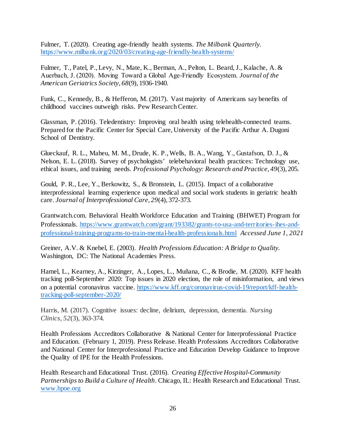Fulmer, T. (2020). Creating age-friendly health systems. *The Milbank Quarterly.*  <https://www.milbank.org/2020/03/creating-age-friendly-health-systems/>

Fulmer, T., Patel, P., Levy, N., Mate, K., Berman, A., Pelton, L. Beard, J., Kalache, A. & Auerbach, J. (2020). Moving Toward a Global Age‐Friendly Ecosystem. *Journal of the American Geriatrics Society*, *68*(9), 1936-1940.

Funk, C., Kennedy, B., & Hefferon, M. (2017). Vast majority of Americans say benefits of childhood vaccines outweigh risks. Pew Research Center.

Glassman, P. (2016). Teledentistry: Improving oral health using telehealth-connected teams. Prepared for the Pacific Center for Special Care, University of the Pacific Arthur A. Dugoni School of Dentistry.

Glueckauf, R. L., Maheu, M. M., Drude, K. P., Wells, B. A., Wang, Y., Gustafson, D. J., & Nelson, E. L. (2018). Survey of psychologists' telebehavioral health practices: Technology use, ethical issues, and training needs. *Professional Psychology: Research and Practice*, *49*(3), 205.

Gould, P. R., Lee, Y., Berkowitz, S., & Bronstein, L. (2015). Impact of a collaborative interprofessional learning experience upon medical and social work students in geriatric health care. *Journal of Interprofessional Care*, *29*(4), 372-373.

Grantwatch.com. Behavioral Health Workforce Education and Training (BHWET) Program for Professionals. [https://www.grantwatch.com/grant/193382/grants-to-usa-and-territories-ihes-and](https://www.grantwatch.com/grant/193382/grants-to-usa-and-territories-ihes-and-professional-training-programs-to-train-mental-health-professionals.html)[professional-training-programs-to-train-mental-health-professionals.html](https://www.grantwatch.com/grant/193382/grants-to-usa-and-territories-ihes-and-professional-training-programs-to-train-mental-health-professionals.html) *Accessed June 1, 2021*

Greiner, A.V. & Knebel, E. (2003). *Health Professions Education: A Bridge to Quality.* Washington, DC: The National Academies Press.

Hamel, L., Kearney, A., Kirzinger, A., Lopes, L., Muñana, C., & Brodie, M. (2020). KFF health tracking poll-September 2020: Top issues in 2020 election, the role of misinformation, and views on a potential coronavirus vaccine. [https://www.kff.org/coronavirus-covid-19/report/kff-health](https://www.kff.org/coronavirus-covid-19/report/kff-health-tracking-poll-september-2020/)[tracking-poll-september-2020/](https://www.kff.org/coronavirus-covid-19/report/kff-health-tracking-poll-september-2020/)

Harris, M. (2017). Cognitive issues: decline, delirium, depression, dementia. *Nursing Clinics*, *52*(3), 363-374.

Health Professions Accreditors Collaborative & National Center for Interprofessional Practice and Education. (February 1, 2019). Press Release. Health Professions Accreditors Collaborative and National Center for Interprofessional Practice and Education Develop Guidance to Improve the Quality of IPE for the Health Professions.

Health Research and Educational Trust. (2016). *Creating Effective Hospital-Community Partnerships to Build a Culture of Health*. Chicago, IL: Health Research and Educational Trust. [www.hpoe.org](http://www.hpoe.org/)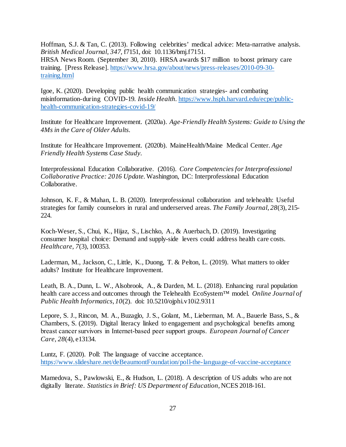Hoffman, S.J. & Tan, C. (2013). Following celebrities' medical advice: Meta-narrative analysis. *British Medical Journal, 347,* f7151, doi: 10.1136/bmj.f7151. HRSA News Room. (September 30, 2010). HRSA awards \$17 million to boost primary care training. [Press Release]. [https://www.hrsa.gov/about/news/press-releases/2010-09-30](https://www.hrsa.gov/about/news/press-releases/2010-09-30-training.html) [training.html](https://www.hrsa.gov/about/news/press-releases/2010-09-30-training.html)

Igoe, K. (2020). Developing public health communication strategies- and combating misinformation-during COVID-19. *Inside Health.* [https://www.hsph.harvard.edu/ecpe/public](https://www.hsph.harvard.edu/ecpe/public-health-communication-strategies-covid-19/)[health-communication-strategies-covid-19/](https://www.hsph.harvard.edu/ecpe/public-health-communication-strategies-covid-19/)

Institute for Healthcare Improvement. (2020a). *Age-Friendly Health Systems: Guide to Using the 4Ms in the Care of Older Adults.* 

Institute for Healthcare Improvement. (2020b). MaineHealth/Maine Medical Center. *Age Friendly Health Systems Case Study.* 

Interprofessional Education Collaborative. (2016). *Core Competencies for Interprofessional Collaborative Practice: 2016 Update.*Washington, DC: Interprofessional Education Collaborative.

Johnson, K. F., & Mahan, L. B. (2020). Interprofessional collaboration and telehealth: Useful strategies for family counselors in rural and underserved areas. *The Family Journal*, *28*(3), 215- 224.

Koch-Weser, S., Chui, K., Hijaz, S., Lischko, A., & Auerbach, D. (2019). Investigating consumer hospital choice: Demand and supply-side levers could address health care costs. *Healthcare, 7*(3), 100353.

Laderman, M., Jackson, C., Little, K., Duong, T. & Pelton, L. (2019). What matters to older adults? Institute for Healthcare Improvement.

Leath, B. A., Dunn, L. W., Alsobrook, A., & Darden, M. L. (2018). Enhancing rural population health care access and outcomes through the Telehealth EcoSystem™ model. *Online Journal of Public Health Informatics*, *10*(2). doi: [10.5210/ojphi.v10i2.9311](https://dx.doi.org/10.5210%2Fojphi.v10i2.9311)

Lepore, S. J., Rincon, M. A., Buzaglo, J. S., Golant, M., Lieberman, M. A., Bauerle Bass, S., & Chambers, S. (2019). Digital literacy linked to engagement and psychological benefits among breast cancer survivors in Internet‐based peer support groups. *European Journal of Cancer Care*, *28*(4), e13134.

Luntz, F. (2020). Poll: The language of vaccine acceptance. <https://www.slideshare.net/deBeaumontFoundation/poll-the-language-of-vaccine-acceptance>

Mamedova, S., Pawlowski, E., & Hudson, L. (2018). A description of US adults who are not digitally literate. *Statistics in Brief: US Department of Education*, NCES 2018-161.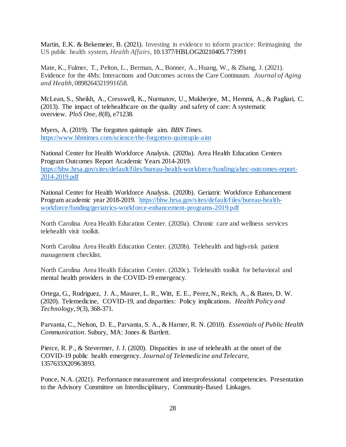Martin, E.K. & Bekemeier, B. (2021). Investing in evidence to inform practice: Reimagining the US public health system, *Health Affairs,* 10.1377/HBLOG20210405.773991

Mate, K., Fulmer, T., Pelton, L., Berman, A., Bonner, A., Huang, W., & Zhang, J. (2021). Evidence for the 4Ms: Interactions and Outcomes across the Care Continuum. *Journal of Aging and Health*, 0898264321991658.

McLean, S., Sheikh, A., Cresswell, K., Nurmatov, U., Mukherjee, M., Hemmi, A., & Pagliari, C. (2013). The impact of telehealthcare on the quality and safety of care: A systematic overview. *PloS One*, *8*(8), e71238.

Myers, A. (2019). The forgotten quintuple aim. *BBN Times.*  <https://www.bbntimes.com/science/the-forgotten-quintuple-aim>

National Center for Health Workforce Analysis. (2020a). Area Health Education Centers Program Outcomes Report Academic Years 2014-2019. [https://bhw.hrsa.gov/sites/default/files/bureau-health-workforce/funding/ahec-outcomes-report-](https://bhw.hrsa.gov/sites/default/files/bureau-health-workforce/funding/ahec-outcomes-report-2014-2019.pdf)[2014-2019.pdf](https://bhw.hrsa.gov/sites/default/files/bureau-health-workforce/funding/ahec-outcomes-report-2014-2019.pdf)

National Center for Health Workforce Analysis. (2020b). Geriatric Workforce Enhancement Program academic year 2018-2019. [https://bhw.hrsa.gov/sites/default/files/bureau-health](https://bhw.hrsa.gov/sites/default/files/bureau-health-workforce/funding/geriatrics-workforce-enhancement-programs-2019.pdf)[workforce/funding/geriatrics-workforce-enhancement-programs-2019.pdf](https://bhw.hrsa.gov/sites/default/files/bureau-health-workforce/funding/geriatrics-workforce-enhancement-programs-2019.pdf)

North Carolina Area Health Education Center. (2020a). Chronic care and wellness services telehealth visit toolkit.

North Carolina Area Health Education Center. (2020b). Telehealth and high-risk patient management checklist.

North Carolina Area Health Education Center. (2020c). Telehealth toolkit for behavioral and mental health providers in the COVID-19 emergency.

Ortega, G., Rodriguez, J. A., Maurer, L. R., Witt, E. E., Perez, N., Reich, A., & Bates, D. W. (2020). Telemedicine, COVID-19, and disparities: Policy implications. *Health Policy and Technology*, *9*(3), 368-371.

Parvanta, C., Nelson, D. E., Parvanta, S. A., & Harner, R. N. (2010). *Essentials of Public Health Communication*. Subury, MA: Jones & Bartlett.

Pierce, R. P., & Stevermer, J. J. (2020). Disparities in use of telehealth at the onset of the COVID-19 public health emergency. *Journal of Telemedicine and Telecare*, 1357633X20963893.

Ponce, N.A. (2021). Performance measurement and interprofessional competencies. Presentation to the Advisory Committee on Interdisciplinary, Community-Based Linkages.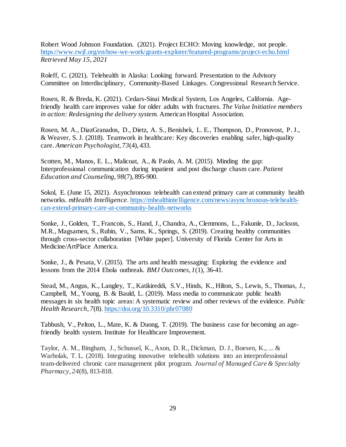Robert Wood Johnson Foundation. (2021). Project ECHO: Moving knowledge, not people. <https://www.rwjf.org/en/how-we-work/grants-explorer/featured-programs/project-echo.html> *Retrieved May 15, 2021*

Roleff, C. (2021). Telehealth in Alaska: Looking forward. Presentation to the Advisory Committee on Interdisciplinary, Community-Based Linkages. Congressional Research Service.

Rosen, R. & Breda, K. (2021). Cedars-Sinai Medical System, Los Angeles, California. Agefriendly health care improves value for older adults with fractures. *The Value Initiative members in action: Redesigning the delivery system.* American Hospital Association.

Rosen, M. A., DiazGranados, D., Dietz, A. S., Benishek, L. E., Thompson, D., Pronovost, P. J., & Weaver, S. J. (2018). Teamwork in healthcare: Key discoveries enabling safer, high-quality care. *American Psychologist*, *73*(4), 433.

Scotten, M., Manos, E. L., Malicoat, A., & Paolo, A. M. (2015). Minding the gap: Interprofessional communication during inpatient and post discharge chasm care. *Patient Education and Counseling*, *98*(7), 895-900.

Sokol, E. (June 15, 2021). Asynchronous telehealth can extend primary care at community health networks. *mHealth Intelligence*[. https://mhealthintelligence.com/news/asynchronous-telehealth](https://mhealthintelligence.com/news/asynchronous-telehealth-can-extend-primary-care-at-community-health-networks)[can-extend-primary-care-at-community-health-networks](https://mhealthintelligence.com/news/asynchronous-telehealth-can-extend-primary-care-at-community-health-networks)

Sonke, J., Golden, T., Francois, S., Hand, J., Chandra, A., Clemmons, L., Fakunle, D., Jackson, M.R., Magsamen, S., Rubin, V., Sams, K., Springs, S. (2019). Creating healthy communities through cross-sector collaboration [White paper]. University of Florida Center for Arts in Medicine/ArtPlace America.

Sonke, J., & Pesata, V. (2015). The arts and health messaging: Exploring the evidence and lessons from the 2014 Ebola outbreak. *BMJ Outcomes*, *1*(1), 36-41.

Stead, M., Angus, K., Langley, T., Katikireddi, S.V., Hinds, K., Hilton, S., Lewis, S., Thomas, J., Campbell, M., Young, B. & Bauld, L. (2019). Mass media to communicate public health messages in six health topic areas: A systematic review and other reviews of the evidence. *Public Health Research*, *7*(8)[. https://doi.org/10.3310/phr07080](https://doi.org/10.3310/phr07080)

Tabbush, V., Pelton, L., Mate, K. & Duong, T. (2019). The business case for becoming an agefriendly health system. Institute for Healthcare Improvement.

Taylor, A. M., Bingham, J., Schussel, K., Axon, D. R., Dickman, D. J., Boesen, K., ... & Warholak, T. L. (2018). Integrating innovative telehealth solutions into an interprofessional team-delivered chronic care management pilot program. *Journal of Managed Care & Specialty Pharmacy*, *24*(8), 813-818.